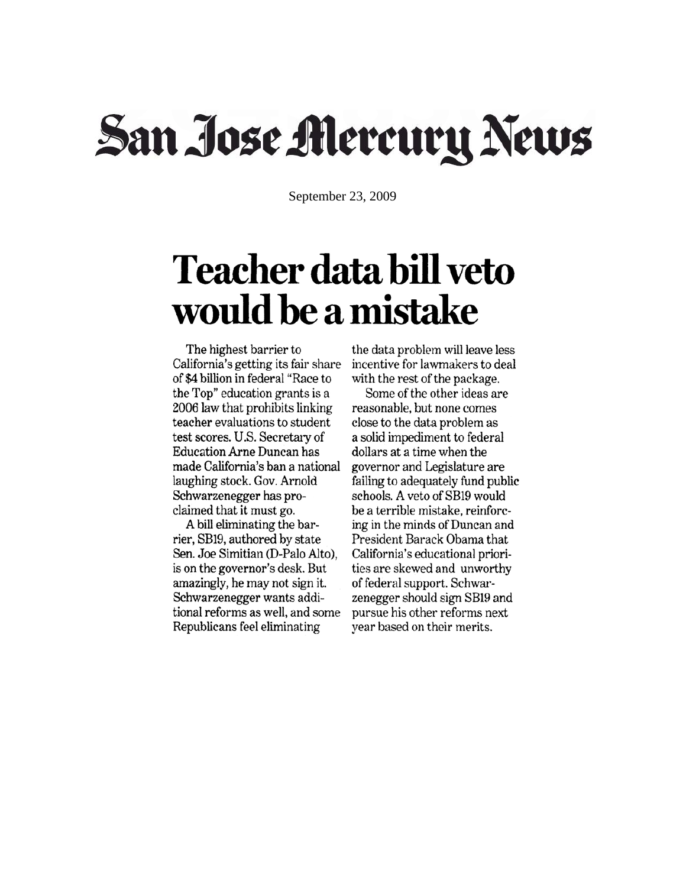## San Jose Mercury News

September 23, 2009

## **Teacher data bill veto** would be a mistake

The highest barrier to California's getting its fair share of \$4 billion in federal "Race to the Top" education grants is a 2006 law that prohibits linking teacher evaluations to student test scores. U.S. Secretary of **Education Arne Duncan has** made California's ban a national laughing stock. Gov. Arnold Schwarzenegger has proclaimed that it must go.

A bill eliminating the barrier, SB19, authored by state Sen. Joe Simitian (D-Palo Alto), is on the governor's desk. But amazingly, he may not sign it. Schwarzenegger wants additional reforms as well, and some Republicans feel eliminating

the data problem will leave less incentive for lawmakers to deal with the rest of the package.

Some of the other ideas are reasonable, but none comes close to the data problem as a solid impediment to federal dollars at a time when the governor and Legislature are failing to adequately fund public schools. A veto of SB19 would be a terrible mistake, reinforcing in the minds of Duncan and President Barack Obama that California's educational priorities are skewed and unworthy of federal support. Schwarzenegger should sign SB19 and pursue his other reforms next year based on their merits.